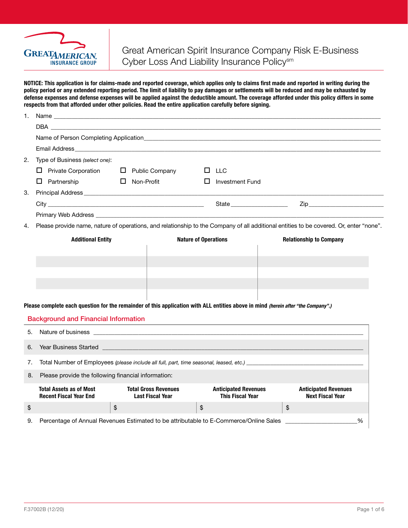

NOTICE: This application is for claims-made and reported coverage, which applies only to claims first made and reported in writing during the policy period or any extended reporting period. The limit of liability to pay damages or settlements will be reduced and may be exhausted by defense expenses and defense expenses will be applied against the deductible amount. The coverage afforded under this policy differs in some respects from that afforded under other policies. Read the entire application carefully before signing.

| 1. |                                                                                                                                        |                   |                                                        |    |                                                        |  |    |                                                        |   |
|----|----------------------------------------------------------------------------------------------------------------------------------------|-------------------|--------------------------------------------------------|----|--------------------------------------------------------|--|----|--------------------------------------------------------|---|
|    |                                                                                                                                        |                   |                                                        |    |                                                        |  |    |                                                        |   |
|    |                                                                                                                                        |                   |                                                        |    |                                                        |  |    |                                                        |   |
|    |                                                                                                                                        |                   |                                                        |    |                                                        |  |    |                                                        |   |
| 2. | Type of Business (select one):                                                                                                         |                   |                                                        |    |                                                        |  |    |                                                        |   |
|    | $\Box$ Private Corporation                                                                                                             |                   | $\Box$ Public Company                                  |    | $\Box$ LLC                                             |  |    |                                                        |   |
|    | $\Box$ Partnership                                                                                                                     | $\Box$ Non-Profit |                                                        | □  | Investment Fund                                        |  |    |                                                        |   |
| З. |                                                                                                                                        |                   |                                                        |    |                                                        |  |    |                                                        |   |
|    |                                                                                                                                        |                   |                                                        |    |                                                        |  |    |                                                        |   |
|    |                                                                                                                                        |                   |                                                        |    |                                                        |  |    |                                                        |   |
| 4. | Please provide name, nature of operations, and relationship to the Company of all additional entities to be covered. Or, enter "none". |                   |                                                        |    |                                                        |  |    |                                                        |   |
|    | <b>Additional Entity</b><br><b>Nature of Operations</b>                                                                                |                   |                                                        |    | <b>Relationship to Company</b>                         |  |    |                                                        |   |
|    |                                                                                                                                        |                   |                                                        |    |                                                        |  |    |                                                        |   |
|    |                                                                                                                                        |                   |                                                        |    |                                                        |  |    |                                                        |   |
|    |                                                                                                                                        |                   |                                                        |    |                                                        |  |    |                                                        |   |
|    |                                                                                                                                        |                   |                                                        |    |                                                        |  |    |                                                        |   |
|    |                                                                                                                                        |                   |                                                        |    |                                                        |  |    |                                                        |   |
|    | Please complete each question for the remainder of this application with ALL entities above in mind (herein after "the Company".)      |                   |                                                        |    |                                                        |  |    |                                                        |   |
|    | <b>Background and Financial Information</b>                                                                                            |                   |                                                        |    |                                                        |  |    |                                                        |   |
| 5. | Nature of business                                                                                                                     |                   |                                                        |    |                                                        |  |    |                                                        |   |
|    |                                                                                                                                        |                   |                                                        |    |                                                        |  |    |                                                        |   |
| 6. |                                                                                                                                        |                   |                                                        |    |                                                        |  |    |                                                        |   |
| 7. |                                                                                                                                        |                   |                                                        |    |                                                        |  |    |                                                        |   |
| 8. | Please provide the following financial information:                                                                                    |                   |                                                        |    |                                                        |  |    |                                                        |   |
|    | <b>Total Assets as of Most</b><br><b>Recent Fiscal Year End</b>                                                                        |                   | <b>Total Gross Revenues</b><br><b>Last Fiscal Year</b> |    | <b>Anticipated Revenues</b><br><b>This Fiscal Year</b> |  |    | <b>Anticipated Revenues</b><br><b>Next Fiscal Year</b> |   |
| \$ |                                                                                                                                        | \$                |                                                        | \$ |                                                        |  | \$ |                                                        |   |
| 9. | Percentage of Annual Revenues Estimated to be attributable to E-Commerce/Online Sales                                                  |                   |                                                        |    |                                                        |  |    |                                                        | % |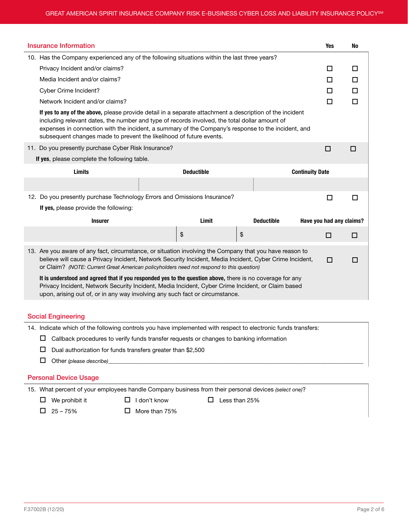| Insurance Information                                                                                                                                                                                                                                                                                                                                                                  |                   |                   |                          | <b>Yes</b> | No |  |  |
|----------------------------------------------------------------------------------------------------------------------------------------------------------------------------------------------------------------------------------------------------------------------------------------------------------------------------------------------------------------------------------------|-------------------|-------------------|--------------------------|------------|----|--|--|
| 10. Has the Company experienced any of the following situations within the last three years?                                                                                                                                                                                                                                                                                           |                   |                   |                          |            |    |  |  |
| Privacy Incident and/or claims?                                                                                                                                                                                                                                                                                                                                                        |                   |                   |                          |            |    |  |  |
| Media Incident and/or claims?                                                                                                                                                                                                                                                                                                                                                          |                   |                   |                          | П          | □  |  |  |
| Cyber Crime Incident?                                                                                                                                                                                                                                                                                                                                                                  |                   |                   |                          | □          | □  |  |  |
| Network Incident and/or claims?                                                                                                                                                                                                                                                                                                                                                        |                   |                   |                          | $\Box$     | П  |  |  |
| If yes to any of the above, please provide detail in a separate attachment a description of the incident<br>including relevant dates, the number and type of records involved, the total dollar amount of<br>expenses in connection with the incident, a summary of the Company's response to the incident, and<br>subsequent changes made to prevent the likelihood of future events. |                   |                   |                          |            |    |  |  |
| 11. Do you presently purchase Cyber Risk Insurance?                                                                                                                                                                                                                                                                                                                                    |                   |                   |                          | □          | П  |  |  |
| If yes, please complete the following table.                                                                                                                                                                                                                                                                                                                                           |                   |                   |                          |            |    |  |  |
| <b>Limits</b>                                                                                                                                                                                                                                                                                                                                                                          | <b>Deductible</b> |                   | <b>Continuity Date</b>   |            |    |  |  |
|                                                                                                                                                                                                                                                                                                                                                                                        |                   |                   |                          |            |    |  |  |
| 12. Do you presently purchase Technology Errors and Omissions Insurance?                                                                                                                                                                                                                                                                                                               |                   |                   |                          | □          | □  |  |  |
| If yes, please provide the following:                                                                                                                                                                                                                                                                                                                                                  |                   |                   |                          |            |    |  |  |
| <b>Insurer</b>                                                                                                                                                                                                                                                                                                                                                                         | Limit             | <b>Deductible</b> | Have you had any claims? |            |    |  |  |
|                                                                                                                                                                                                                                                                                                                                                                                        | \$                | \$                |                          | $\Box$     | □  |  |  |
| 13. Are you aware of any fact, circumstance, or situation involving the Company that you have reason to<br>believe will cause a Privacy Incident, Network Security Incident, Media Incident, Cyber Crime Incident,<br>□<br>or Claim? (NOTE: Current Great American policyholders need not respond to this question)                                                                    |                   |                   |                          |            |    |  |  |
| It is understood and agreed that if you responded yes to the question above, there is no coverage for any<br>Privacy Incident, Network Security Incident, Media Incident, Cyber Crime Incident, or Claim based<br>upon, arising out of, or in any way involving any such fact or circumstance.                                                                                         |                   |                   |                          |            |    |  |  |
| <b>Social Engineering</b>                                                                                                                                                                                                                                                                                                                                                              |                   |                   |                          |            |    |  |  |

14. Indicate which of the following controls you have implemented with respect to electronic funds transfers:

 $\Box$  Callback procedures to verify funds transfer requests or changes to banking information

 $\square$  Dual authorization for funds transfers greater than \$2,500

 $\Box$  Other *(please describe)* 

## Personal Device Usage

15. What percent of your employees handle Company business from their personal devices *(select one)*?

 $\Box$  We prohibit it  $\Box$  I don't know  $\Box$  Less than 25%

 $\Box$  25 – 75%  $\Box$  More than 75%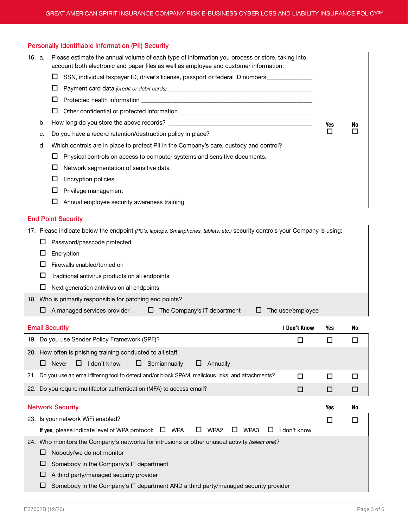| <b>Personally Identifiable Information (PII) Security</b> |  |  |
|-----------------------------------------------------------|--|--|
|                                                           |  |  |

| 16. a. |                                                                                                                             | Please estimate the annual volume of each type of information you process or store, taking into<br>account both electronic and paper files as well as employee and customer information: |     |    |  |  |  |  |
|--------|-----------------------------------------------------------------------------------------------------------------------------|------------------------------------------------------------------------------------------------------------------------------------------------------------------------------------------|-----|----|--|--|--|--|
|        |                                                                                                                             | ш<br>SSN, individual taxpayer ID, driver's license, passport or federal ID numbers __________                                                                                            |     |    |  |  |  |  |
|        |                                                                                                                             | Ц                                                                                                                                                                                        |     |    |  |  |  |  |
|        |                                                                                                                             | ш                                                                                                                                                                                        |     |    |  |  |  |  |
|        |                                                                                                                             | □                                                                                                                                                                                        |     |    |  |  |  |  |
|        | b.                                                                                                                          |                                                                                                                                                                                          | Yes | No |  |  |  |  |
|        | c.                                                                                                                          | □                                                                                                                                                                                        |     |    |  |  |  |  |
|        | Which controls are in place to protect PII in the Company's care, custody and control?<br>d.                                |                                                                                                                                                                                          |     |    |  |  |  |  |
|        |                                                                                                                             | Physical controls on access to computer systems and sensitive documents.<br>⊔                                                                                                            |     |    |  |  |  |  |
|        |                                                                                                                             |                                                                                                                                                                                          |     |    |  |  |  |  |
|        |                                                                                                                             | <b>Encryption policies</b>                                                                                                                                                               |     |    |  |  |  |  |
|        |                                                                                                                             | Privilege management<br>ш                                                                                                                                                                |     |    |  |  |  |  |
|        |                                                                                                                             | Annual employee security awareness training<br>$\Box$                                                                                                                                    |     |    |  |  |  |  |
|        | <b>End Point Security</b>                                                                                                   |                                                                                                                                                                                          |     |    |  |  |  |  |
|        | 17. Please indicate below the endpoint (PC's, laptops, Smartphones, tablets, etc.) security controls your Company is using: |                                                                                                                                                                                          |     |    |  |  |  |  |
|        |                                                                                                                             | Password/passcode protected                                                                                                                                                              |     |    |  |  |  |  |

| Encryption |
|------------|
|------------|

L,

- $\square$  Firewalls enabled/turned on
- $\Box$  Traditional antivirus products on all endpoints
- $\square$  Next generation antivirus on all endpoints
- 18. Who is primarily responsible for patching end points?

| $\Box$ A managed services provider |  | $\Box$ The Company's IT department |  | $\Box$ The user/employee |  |
|------------------------------------|--|------------------------------------|--|--------------------------|--|
|                                    |  |                                    |  |                          |  |

| <b>Email Security</b>                                                                                                | I Don't Know | Yes | No        |  |  |  |
|----------------------------------------------------------------------------------------------------------------------|--------------|-----|-----------|--|--|--|
| 19. Do you use Sender Policy Framework (SPF)?                                                                        | П            |     |           |  |  |  |
| 20. How often is phishing training conducted to all staff:                                                           |              |     |           |  |  |  |
| I don't know<br>Semiannually<br>Never<br>⊔<br>Annually<br>ப<br>ப<br>ப                                                |              |     |           |  |  |  |
| 21. Do you use an email filtering tool to detect and/or block SPAM, malicious links, and attachments?                | п            | П   | Π         |  |  |  |
| 22. Do you require multifactor authentication (MFA) to access email?                                                 | □            | □   | П         |  |  |  |
|                                                                                                                      |              |     |           |  |  |  |
| <b>Network Security</b>                                                                                              |              | Yes | <b>No</b> |  |  |  |
| 23. Is your network WiFi enabled?                                                                                    |              | □   |           |  |  |  |
| $\Box$<br>If yes, please indicate level of WPA protocol: $\Box$ WPA<br>WPA <sub>2</sub><br>WPA3<br>ப<br>$\mathsf{L}$ | don't know   |     |           |  |  |  |
| 24. Who monitors the Company's networks for intrusions or other unusual activity (select one)?                       |              |     |           |  |  |  |
| Nobody/we do not monitor<br>ப                                                                                        |              |     |           |  |  |  |
| Somebody in the Company's IT department<br>ப                                                                         |              |     |           |  |  |  |
| A third party/managed security provider<br>ப                                                                         |              |     |           |  |  |  |
| Somebody in the Company's IT department AND a third party/managed security provider                                  |              |     |           |  |  |  |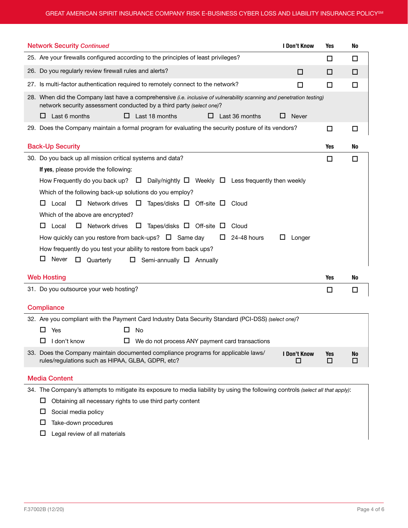| <b>Network Security Continued</b><br><b>I Don't Know</b>                                                                                                                                      | Yes      | No             |  |  |  |  |
|-----------------------------------------------------------------------------------------------------------------------------------------------------------------------------------------------|----------|----------------|--|--|--|--|
| 25. Are your firewalls configured according to the principles of least privileges?                                                                                                            | □        | □              |  |  |  |  |
| 26. Do you regularly review firewall rules and alerts?<br>□                                                                                                                                   | □        | □              |  |  |  |  |
| 27. Is multi-factor authentication required to remotely connect to the network?<br>□                                                                                                          | □        | $\Box$         |  |  |  |  |
| 28. When did the Company last have a comprehensive (i.e. inclusive of vulnerability scanning and penetration testing)<br>network security assessment conducted by a third party (select one)? |          |                |  |  |  |  |
| Last 6 months<br>Last 18 months<br>Last 36 months<br>⊔<br>ш<br>ப<br><b>Never</b><br>ப<br>29. Does the Company maintain a formal program for evaluating the security posture of its vendors?   | □        | $\Box$         |  |  |  |  |
|                                                                                                                                                                                               |          |                |  |  |  |  |
| <b>Back-Up Security</b>                                                                                                                                                                       | Yes      | <b>No</b>      |  |  |  |  |
| 30. Do you back up all mission critical systems and data?                                                                                                                                     | □        | □              |  |  |  |  |
| If yes, please provide the following:                                                                                                                                                         |          |                |  |  |  |  |
| How Frequently do you back up? $\Box$ Daily/nightly $\Box$ Weekly $\Box$ Less frequently then weekly                                                                                          |          |                |  |  |  |  |
| Which of the following back-up solutions do you employ?                                                                                                                                       |          |                |  |  |  |  |
| Local<br>$\Box$<br>Network drives $\quad \Box$<br>Tapes/disks $\Box$ Off-site $\Box$ Cloud<br>ப                                                                                               |          |                |  |  |  |  |
| Which of the above are encrypted?                                                                                                                                                             |          |                |  |  |  |  |
| Local<br>$\Box$<br>Network drives $\Box$ Tapes/disks $\Box$ Off-site $\Box$<br>ப<br>Cloud                                                                                                     |          |                |  |  |  |  |
| How quickly can you restore from back-ups? $\Box$ Same day<br>24-48 hours<br>ш<br>Longer<br>ш                                                                                                 |          |                |  |  |  |  |
| How frequently do you test your ability to restore from back ups?                                                                                                                             |          |                |  |  |  |  |
| Never<br>⊔<br>$\Box$<br>Quarterly<br>$\Box$ Semi-annually $\Box$ Annually                                                                                                                     |          |                |  |  |  |  |
| <b>Web Hosting</b>                                                                                                                                                                            | Yes      | No             |  |  |  |  |
| 31. Do you outsource your web hosting?                                                                                                                                                        | □        | □              |  |  |  |  |
|                                                                                                                                                                                               |          |                |  |  |  |  |
| <b>Compliance</b>                                                                                                                                                                             |          |                |  |  |  |  |
| 32. Are you compliant with the Payment Card Industry Data Security Standard (PCI-DSS) (select one)?                                                                                           |          |                |  |  |  |  |
| □<br>Yes<br>No                                                                                                                                                                                |          |                |  |  |  |  |
| $\Box$ I don't know<br>$\Box$ We do not process ANY payment card transactions                                                                                                                 |          |                |  |  |  |  |
| 33. Does the Company maintain documented compliance programs for applicable laws/<br>I Don't Know<br>rules/regulations such as HIPAA, GLBA, GDPR, etc?<br>□                                   | Yes<br>□ | <b>No</b><br>□ |  |  |  |  |
| <b>Media Content</b>                                                                                                                                                                          |          |                |  |  |  |  |
| 34. The Company's attempts to mitigate its exposure to media liability by using the following controls (select all that apply):                                                               |          |                |  |  |  |  |
|                                                                                                                                                                                               |          |                |  |  |  |  |

 $\square$  Social media policy

 $\square$  Take-down procedures

 $\square$  Legal review of all materials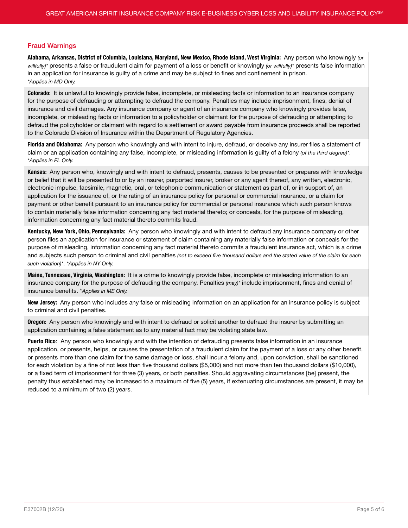## Fraud Warnings

Alabama, Arkansas, District of Columbia, Louisiana, Maryland, New Mexico, Rhode Island, West Virginia: Any person who knowingly *(or willfully)\** presents a false or fraudulent claim for payment of a loss or benefit or knowingly *(or willfully)\** presents false information in an application for insurance is guilty of a crime and may be subject to fines and confinement in prison. *\*Applies in MD Only.*

Colorado: It is unlawful to knowingly provide false, incomplete, or misleading facts or information to an insurance company for the purpose of defrauding or attempting to defraud the company. Penalties may include imprisonment, fines, denial of insurance and civil damages. Any insurance company or agent of an insurance company who knowingly provides false, incomplete, or misleading facts or information to a policyholder or claimant for the purpose of defrauding or attempting to defraud the policyholder or claimant with regard to a settlement or award payable from insurance proceeds shall be reported to the Colorado Division of Insurance within the Department of Regulatory Agencies.

Florida and Oklahoma: Any person who knowingly and with intent to injure, defraud, or deceive any insurer files a statement of claim or an application containing any false, incomplete, or misleading information is guilty of a felony *(of the third degree)\**. *\*Applies in FL Only.*

Kansas: Any person who, knowingly and with intent to defraud, presents, causes to be presented or prepares with knowledge or belief that it will be presented to or by an insurer, purported insurer, broker or any agent thereof, any written, electronic, electronic impulse, facsimile, magnetic, oral, or telephonic communication or statement as part of, or in support of, an application for the issuance of, or the rating of an insurance policy for personal or commercial insurance, or a claim for payment or other benefit pursuant to an insurance policy for commercial or personal insurance which such person knows to contain materially false information concerning any fact material thereto; or conceals, for the purpose of misleading, information concerning any fact material thereto commits fraud.

Kentucky, New York, Ohio, Pennsylvania: Any person who knowingly and with intent to defraud any insurance company or other person files an application for insurance or statement of claim containing any materially false information or conceals for the purpose of misleading, information concerning any fact material thereto commits a fraudulent insurance act, which is a crime and subjects such person to criminal and civil penalties *(not to exceed five thousand dollars and the stated value of the claim for each such violation)\**. *\*Applies in NY Only.*

Maine, Tennessee, Virginia, Washington: It is a crime to knowingly provide false, incomplete or misleading information to an insurance company for the purpose of defrauding the company. Penalties *(may)\** include imprisonment, fines and denial of insurance benefits. \**Applies in ME Only.*

New Jersey: Any person who includes any false or misleading information on an application for an insurance policy is subject to criminal and civil penalties.

**Oregon:** Any person who knowingly and with intent to defraud or solicit another to defraud the insurer by submitting an application containing a false statement as to any material fact may be violating state law.

Puerto Rico: Any person who knowingly and with the intention of defrauding presents false information in an insurance application, or presents, helps, or causes the presentation of a fraudulent claim for the payment of a loss or any other benefit, or presents more than one claim for the same damage or loss, shall incur a felony and, upon conviction, shall be sanctioned for each violation by a fine of not less than five thousand dollars (\$5,000) and not more than ten thousand dollars (\$10,000), or a fixed term of imprisonment for three (3) years, or both penalties. Should aggravating circumstances [be] present, the penalty thus established may be increased to a maximum of five (5) years, if extenuating circumstances are present, it may be reduced to a minimum of two (2) years.